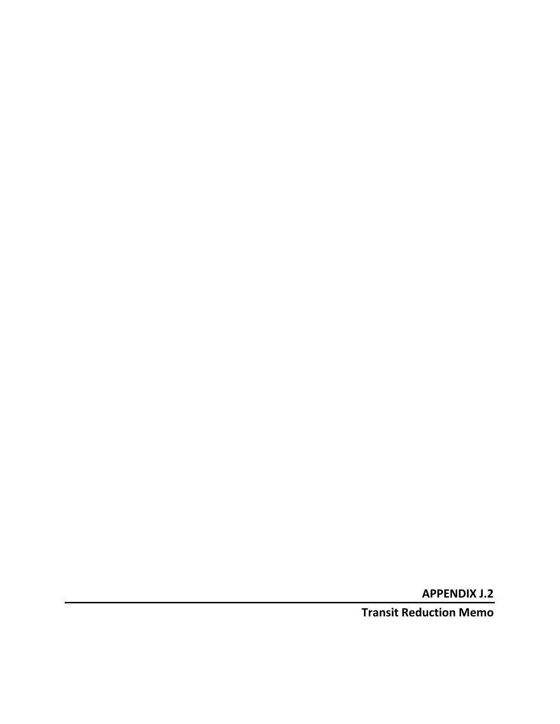**APPENDIX J.2**

**Transit Reduction Memo**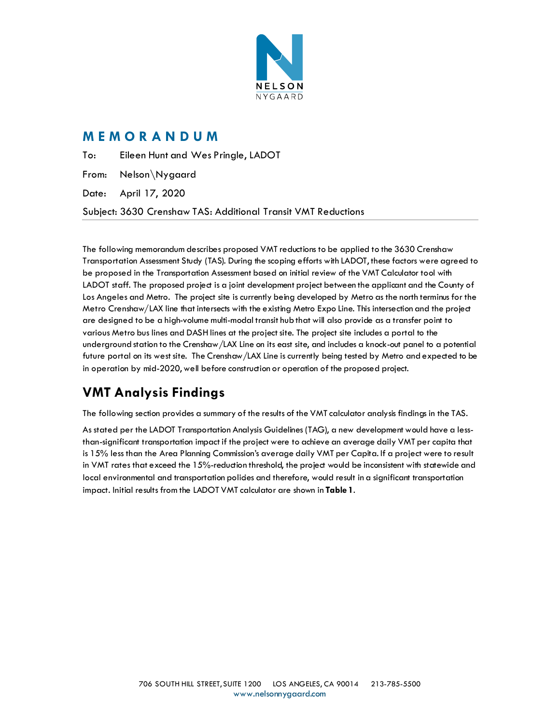

## **M E M O R A N D U M**

To: Eileen Hunt and Wes Pringle, LADOT From: Nelson\Nygaard Date: April 17, 2020 Subject: 3630 Crenshaw TAS: Additional Transit VMT Reductions

The following memorandum describes proposed VMT reductions to be applied to the 3630 Crenshaw Transportation Assessment Study (TAS). During the scoping efforts with LADOT, these factors were agreed to be proposed in the Transportation Assessment based on initial review of the VMT Calculator tool with LADOT staff. The proposed project is a joint development project between the applicant and the County of Los Angeles and Metro. The project site is currently being developed by Metro as the north terminus for the Metro Crenshaw/LAX line that intersects with the existing Metro Expo Line. This intersection and the project are designed to be a high-volume multi-modal transit hub that will also provide as a transfer point to various Metro bus lines and DASH lines at the project site. The project site includes a portal to the underground station to the Crenshaw/LAX Line on its east site, and includes a knock-out panel to a potential future portal on its west site. The Crenshaw/LAX Line is currently being tested by Metro and expected to be in operation by mid-2020, well before construction or operation of the proposed project.

# **VMT Analysis Findings**

The following section provides a summary of the results of the VMT calculator analysis findings in the TAS.

<span id="page-1-0"></span>As stated per the LADOT Transportation Analysis Guidelines (TAG), a new development would have a lessthan-significant transportation impact if the project were to achieve an average daily VMT per capita that is 15% less than the Area Planning Commission's average daily VMT per Capita. If a project were to result in VMT rates that exceed the 15%-reduction threshold, the project would be inconsistent with statewide and local environmental and transportation policies and therefore, would result in a significant transportation impact. Initial results from the LADOT VMT calculator are shown in **[Table 1](#page-1-0)**.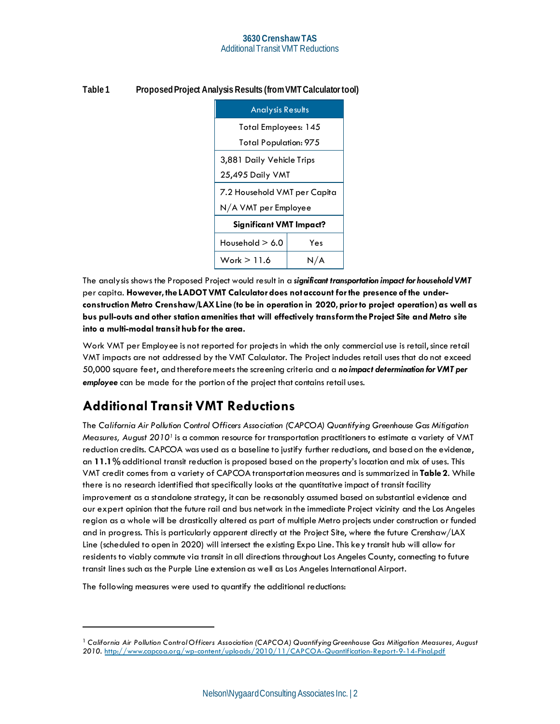| <b>Analysis Results</b>        |                           |  |  |  |
|--------------------------------|---------------------------|--|--|--|
| <b>Total Employees: 145</b>    |                           |  |  |  |
| <b>Total Population: 975</b>   |                           |  |  |  |
|                                | 3,881 Daily Vehicle Trips |  |  |  |
| 25,495 Daily VMT               |                           |  |  |  |
| 7.2 Household VMT per Capita   |                           |  |  |  |
| N/A VMT per Employee           |                           |  |  |  |
| <b>Significant VMT Impact?</b> |                           |  |  |  |
| Household $> 6.0$<br>Yes       |                           |  |  |  |
| Work $> 11.6$<br>N/A           |                           |  |  |  |

#### **Table 1 ProposedProject Analysis Results (from VMT Calculator tool)**

The analysis shows the Proposed Project would result in a *significant transportation impact for household VMT* per capita. **However, the LADOT VMT Calculator does not account for the presence of the underconstruction Metro Crenshaw/LAX Line (to be in operation in 2020, prior to project operation) as well as bus pull-outs and other station amenities that will effectively transform the Project Site and Metro site into a multi-modal transit hub for the area.**

Work VMT per Employee is not reported for projects in which the only commercial use is retail, since retail VMT impacts are not addressed by the VMT Calaulator. The Project indudes retail uses that do not exceed 50,000 square feet, and thereforemeets the screening criteria and a *no impact determination for VMT per employee* can be made for the portion of the project that contains retail uses.

## **Additional Transit VMT Reductions**

The *California Air Pollution Control Officers Association (CAPCOA) Quantifying Greenhouse Gas Mitigation Measures, August 2010[1](#page-2-0)* is a common resource for transportation practitioners to estimate a variety of VMT reduction credits. CAPCOA was used as a baseline to justify further reductions, and based on the evidence, an **11.1%** additional transit reduction is proposed based on the property's location and mix of uses. This VMT credit comes from a variety of CAPCOA transportation measures and is summarized in **[Table 2](#page-4-0)**. While there is no research identified that specifically looks at the quantitative impact of transit facility improvement as a standalone strategy, it can be reasonably assumed based on substantial evidence and our expert opinion that the future rail and bus network in the immediate Project vicinity and the Los Angeles region as a whole will be drastically altered as part of multiple Metro projects under construction or funded and in progress. This is particularly apparent directly at the Project Site, where the future Crenshaw/LAX Line (scheduled to open in 2020) will intersect the existing Expo Line. This key transit hub will allow for residents to viably commute via transit in all directions throughout Los Angeles County, connecting to future transit lines such as the Purple Line extension as well as Los Angeles International Airport.

The following measures were used to quantify the additional reductions:

<span id="page-2-0"></span><sup>1</sup> *California Air Pollution Control Officers Association (CAPCOA) Quantifying Greenhouse Gas Mitigation Measures, August 2010.* http://www.capcoa.org/wp-content/uploads/2010/11/CAPCOA-Quantification-Report-9-14-Final.pdf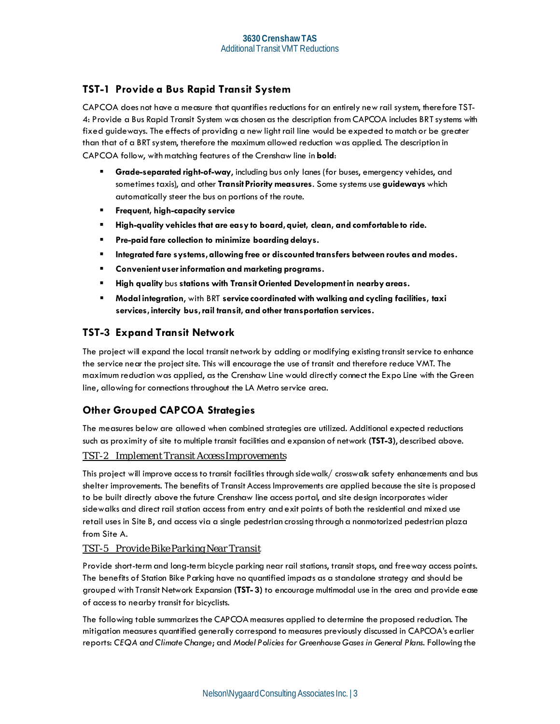## **TST-1 Provide a Bus Rapid Transit System**

CAPCOA does not have a measure that quantifies reductions for an entirely new rail system, therefore TST-4: Provide a Bus Rapid Transit System was chosen as the description from CAPCOA includes BRT systems with fixed guideways. The effects of providing a new light rail line would be expected to match or be greater than that of a BRT system, therefore the maximum allowed reduction was applied. The description in CAPCOA follow, with matching features of the Crenshaw line in **bold**:

- Grade-separated right-of-way, including bus only lanes (for buses, emergency vehides, and sometimes taxis), and other **Transit Priority measures**. Some systems use **guideways** which automatically steer the bus on portions of the route.
- **Frequent, high-capacity service**
- **High-quality vehicles that are easy to board, quiet, clean, and comfortable to ride.**
- **Pre-paid fare collection to minimize boarding delays.**
- **Integrated fare systems, allowing free or discounted transfers between routes and modes.**
- **Convenient user information and marketing programs.**
- **High quality** bus **stations with Transit Oriented Development in nearby areas.**
- **Modal integration**, with BRT **service coordinated with walking and cycling facilities, taxi services, intercity bus, rail transit, and other transportation services.**

### **TST-3 Expand Transit Network**

The project will expand the local transit network by adding or modifying existing transit service to enhance the service near the project site. This will encourage the use of transit and therefore reduce VMT. The maximum reduction was applied, as the Crenshaw Line would directly connect the Expo Line with the Green line, allowing for connections throughout the LA Metro service area.

## **Other Grouped CAPCOA Strategies**

The measures below are allowed when combined strategies are utilized. Additional expected reductions such as proximity of site to multiple transit facilities and expansion of network **(TST-3)**, described above.

#### *TST-2 Implement Transit Access Improvements*

This project will improve access to transit facilities through sidewalk/ crosswalk safety enhancements and bus shelter improvements. The benefits of Transit Access Improvements are applied because the site is proposed to be built directly above the future Crenshaw line access portal, and site design incorporates wider sidewalks and direct rail station access from entry and exit points of both the residential and mixed use retail uses in Site B, and access via a single pedestrian crossing through a nonmotorized pedestrian plaza from Site A.

#### *TST-5 Provide Bike Parking Near Transit*

Provide short-term and long-term bicycle parking near rail stations, transit stops, and freeway access points. The benefits of Station Bike Parking have no quantified impacts as a standalone strategy and should be grouped with Transit Network Expansion **(TST- 3)** to encourage multimodal use in the area and provide ease of access to nearby transit for bicyclists.

The following table summarizes the CAPCOA measures applied to determine the proposed reduction. The mitigation measures quantified generally correspond to measures previously discussed in CAPCOA's earlier reports: *CEQA and Climate Change*; and *Model Policies for Greenhouse Gases in General Plans*. Following the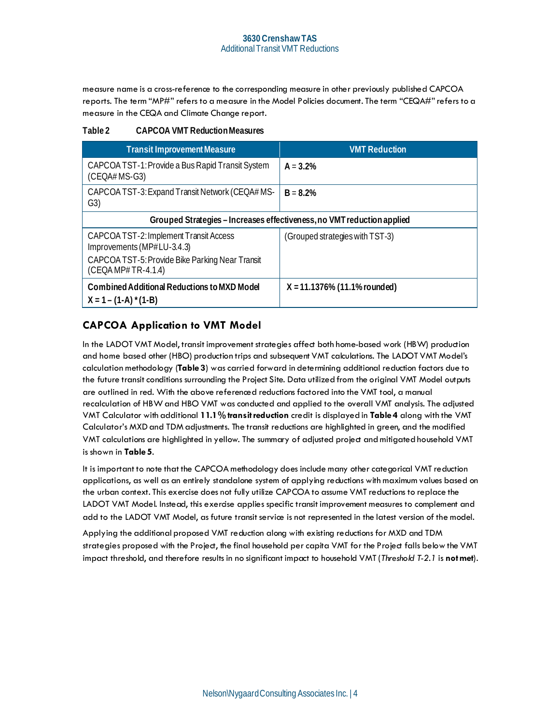measure name is a cross-reference to the corresponding measure in other previously published CAPCOA reports. The term "MP#" refers to a measure in the Model Policies document. The term "CEQA#" refers to a measure in the CEQA and Climate Change report.

#### <span id="page-4-0"></span>**Table 2 CAPCOA VMT Reduction Measures**

| <b>Transit Improvement Measure</b>                                     | <b>VMT Reduction</b>                                                   |
|------------------------------------------------------------------------|------------------------------------------------------------------------|
| CAPCOA TST-1: Provide a Bus Rapid Transit System<br>$(CEOA# MS-G3)$    | $A = 3.2%$                                                             |
| CAPCOA TST-3: Expand Transit Network (CEQA# MS-<br>G3)                 | $B = 8.2%$                                                             |
|                                                                        | Grouped Strategies - Increases effectiveness, no VMT reduction applied |
| CAPCOA TST-2: Implement Transit Access<br>Improvements (MP#LU-3.4.3)   | (Grouped strategies with TST-3)                                        |
| CAPCOA TST-5: Provide Bike Parking Near Transit<br>$(CEOAMP#TR-4.1.4)$ |                                                                        |
| Combined Additional Reductions to MXD Model<br>$X = 1 - (1-A)^*(1-B)$  | $X = 11.1376\%$ (11.1% rounded)                                        |

## **CAPCOA Application to VMT Model**

In the LADOT VMT Model, transit improvement strategies affect both home-based work (HBW) production and home based other (HBO) production trips and subsequent VMT calculations. The LADOT VMT Model's calculation methodology (**[Table 3](#page-5-0)**) was carried forward in determining additional reduction factors due to the future transit conditions surrounding the Project Site. Data utilized from the original VMT Model outputs are outlined in red. With the above referenced reductions factored into the VMT tool, a manual recalculation of HBW and HBO VMT was conducted and applied to the overall VMT analysis. The adjusted VMT Calculator with additional **11.1% transit reduction** credit is displayed in **[Table 4](#page-5-1)** along with the VMT Calculator's MXD and TDM adjustments. The transit reductions are highlighted in green, and the modified VMT calculations are highlighted in yellow. The summary of adjusted project and mitigated household VMT is shown in **[Table 5](#page-6-0)**.

It is important to note that the CAPCOA methodology does include many other categorical VMT reduction applications, as well as an entirely standalone system of applying reductions with maximum values based on the urban context. This exercise does not fully utilize CAPCOA to assume VMT reductions to replace the LADOT VMT Model. Instead, this exercise applies specific transit improvement measures to complement and add to the LADOT VMT Model, as future transit service is not represented in the latest version of the model.

Applying the additional proposed VMT reduction along with existing reductions for MXD and TDM strategies proposed with the Project, the final household per capita VMT for the Project falls below the VMT impact threshold, and therefore results in no significant impact to household VMT (*Threshold T-2.1* is **not met**).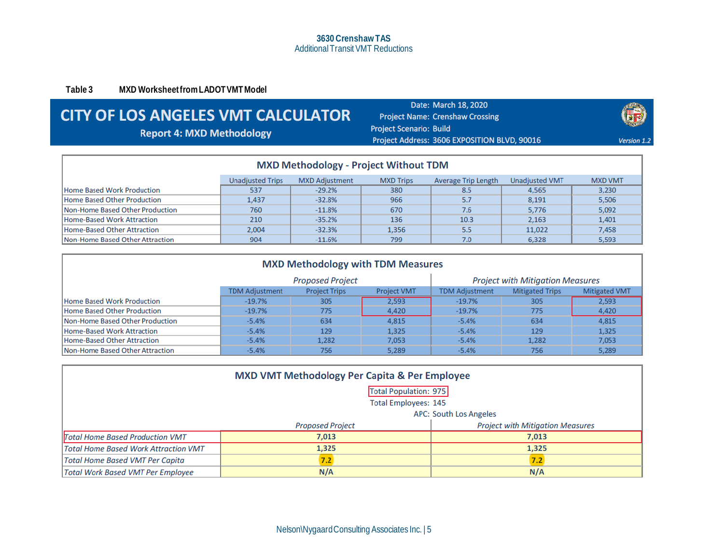**Table 3 MXD Worksheet from LADOT VMT Model**

# **CITY OF LOS ANGELES VMT CALCULATOR**

**Report 4: MXD Methodology** 

Date: March 18, 2020 **Project Name: Crenshaw Crossing Project Scenario: Build** Project Address: 3606 EXPOSITION BLVD, 90016



| <b>MXD Methodology - Project Without TDM</b>                                                                                           |       |          |       |      |        |       |
|----------------------------------------------------------------------------------------------------------------------------------------|-------|----------|-------|------|--------|-------|
| <b>Unadjusted VMT</b><br><b>Unadjusted Trips</b><br><b>MXD Adjustment</b><br><b>MXD VMT</b><br><b>MXD Trips</b><br>Average Trip Length |       |          |       |      |        |       |
| <b>Home Based Work Production</b>                                                                                                      | 537   | $-29.2%$ | 380   | 8.5  | 4,565  | 3,230 |
| Home Based Other Production                                                                                                            | 1.437 | $-32.8%$ | 966   | 5.7  | 8,191  | 5,506 |
| Non-Home Based Other Production                                                                                                        | 760   | $-11.8%$ | 670   | 7.6  | 5.776  | 5,092 |
| Home-Based Work Attraction                                                                                                             | 210   | $-35.2%$ | 136   | 10.3 | 2.163  | 1,401 |
| Home-Based Other Attraction                                                                                                            | 2.004 | $-32.3%$ | 1.356 | 5.5  | 11.022 | 7,458 |
| Non-Home Based Other Attraction                                                                                                        | 904   | $-11.6%$ | 799   | 7.0  | 6,328  | 5,593 |

<span id="page-5-0"></span>

| <b>MXD Methodology with TDM Measures</b> |                       |                         |                    |                       |                                         |                      |
|------------------------------------------|-----------------------|-------------------------|--------------------|-----------------------|-----------------------------------------|----------------------|
|                                          |                       | <b>Proposed Project</b> |                    |                       | <b>Project with Mitigation Measures</b> |                      |
|                                          | <b>TDM Adiustment</b> | <b>Project Trips</b>    | <b>Project VMT</b> | <b>TDM Adjustment</b> | <b>Mitigated Trips</b>                  | <b>Mitigated VMT</b> |
| <b>Home Based Work Production</b>        | $-19.7%$              | 305                     | 2.593              | $-19.7%$              | 305                                     | 2,593                |
| Home Based Other Production              | $-19.7%$              | 775                     | 4.420              | $-19.7%$              | 775                                     | 4.420                |
| Non-Home Based Other Production          | $-5.4%$               | 634                     | 4,815              | $-5.4%$               | 634                                     | 4,815                |
| Home-Based Work Attraction               | $-5.4%$               | 129                     | 1,325              | $-5.4%$               | 129                                     | 1,325                |
| Home-Based Other Attraction              | $-5.4%$               | 1.282                   | 7,053              | $-5.4%$               | 1,282                                   | 7,053                |
| Non-Home Based Other Attraction          | $-5.4%$               | 756                     | 5,289              | $-5.4%$               | 756                                     | 5,289                |

<span id="page-5-1"></span>

| <b>MXD VMT Methodology Per Capita &amp; Per Employee</b>           |            |       |  |  |  |  |
|--------------------------------------------------------------------|------------|-------|--|--|--|--|
| <b>Total Population: 975</b>                                       |            |       |  |  |  |  |
| <b>Total Employees: 145</b>                                        |            |       |  |  |  |  |
| <b>APC: South Los Angeles</b>                                      |            |       |  |  |  |  |
| <b>Project with Mitigation Measures</b><br><b>Proposed Project</b> |            |       |  |  |  |  |
| <b>Total Home Based Production VMT</b>                             | 7,013      | 7,013 |  |  |  |  |
| <b>Total Home Based Work Attraction VMT</b>                        | 1,325      | 1,325 |  |  |  |  |
| <b>Total Home Based VMT Per Capita</b>                             | 7.2<br>7.2 |       |  |  |  |  |
| N/A<br>N/A<br>Total Work Based VMT Per Employee                    |            |       |  |  |  |  |